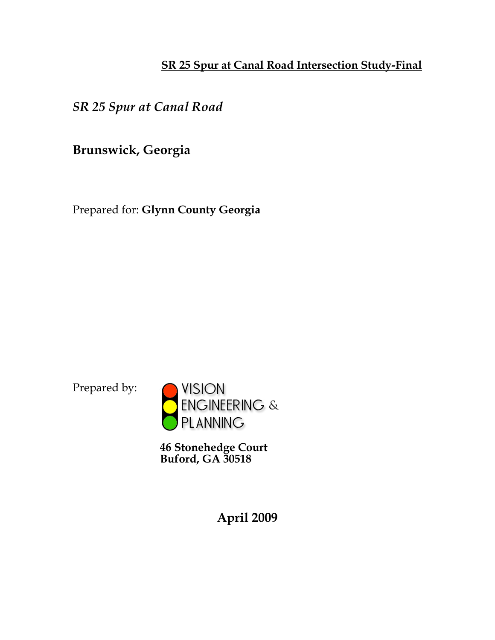## **SR 25 Spur at Canal Road Intersection Study-Final**

*SR 25 Spur at Canal Road*

**Brunswick, Georgia**

Prepared for: **Glynn County Georgia**

Prepared by:



**46 Stonehedge Court Buford, GA 30518**

**April 2009**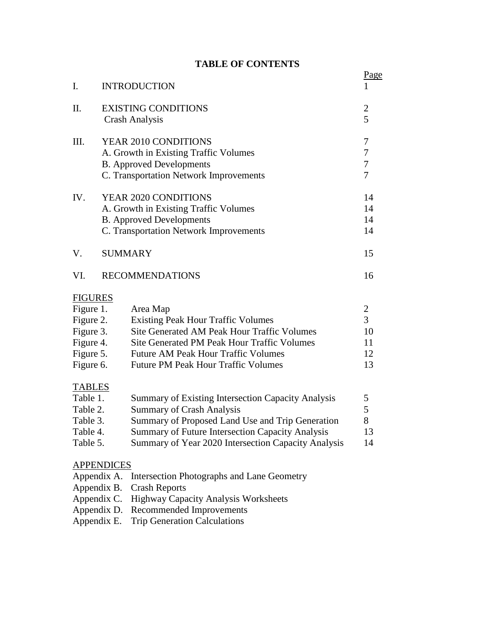#### **TABLE OF CONTENTS**

| I.                                                                                                            |                                                                                                                                            | <b>INTRODUCTION</b>                                                                                                                                                                                                                                          | Page                                                     |  |
|---------------------------------------------------------------------------------------------------------------|--------------------------------------------------------------------------------------------------------------------------------------------|--------------------------------------------------------------------------------------------------------------------------------------------------------------------------------------------------------------------------------------------------------------|----------------------------------------------------------|--|
| II.                                                                                                           | <b>EXISTING CONDITIONS</b><br><b>Crash Analysis</b>                                                                                        |                                                                                                                                                                                                                                                              |                                                          |  |
| III.                                                                                                          | YEAR 2010 CONDITIONS<br>A. Growth in Existing Traffic Volumes<br><b>B.</b> Approved Developments<br>C. Transportation Network Improvements |                                                                                                                                                                                                                                                              |                                                          |  |
| IV.                                                                                                           |                                                                                                                                            | YEAR 2020 CONDITIONS<br>A. Growth in Existing Traffic Volumes<br><b>B.</b> Approved Developments<br>C. Transportation Network Improvements                                                                                                                   | 14<br>14<br>14<br>14                                     |  |
| V.                                                                                                            | <b>SUMMARY</b>                                                                                                                             |                                                                                                                                                                                                                                                              | 15                                                       |  |
| VI.                                                                                                           |                                                                                                                                            | <b>RECOMMENDATIONS</b>                                                                                                                                                                                                                                       | 16                                                       |  |
| <b>FIGURES</b><br>Figure 1.<br>Figure 2.<br>Figure 3.<br>Figure 4.<br>Figure 5.<br>Figure 6.<br><b>TABLES</b> |                                                                                                                                            | Area Map<br><b>Existing Peak Hour Traffic Volumes</b><br>Site Generated AM Peak Hour Traffic Volumes<br><b>Site Generated PM Peak Hour Traffic Volumes</b><br><b>Future AM Peak Hour Traffic Volumes</b><br><b>Future PM Peak Hour Traffic Volumes</b>       | $\overline{c}$<br>$\overline{3}$<br>10<br>11<br>12<br>13 |  |
| Table 1.<br>Table 2.<br>Table 3.<br>Table 4.<br>Table 5.                                                      |                                                                                                                                            | <b>Summary of Existing Intersection Capacity Analysis</b><br><b>Summary of Crash Analysis</b><br>Summary of Proposed Land Use and Trip Generation<br>Summary of Future Intersection Capacity Analysis<br>Summary of Year 2020 Intersection Capacity Analysis | 5<br>5<br>8<br>13<br>14                                  |  |

#### **APPENDICES**

Appendix A. Intersection Photographs and Lane Geometry

- Appendix B. Crash Reports
- Appendix C. Highway Capacity Analysis Worksheets
- Appendix D. Recommended Improvements
- Appendix E. Trip Generation Calculations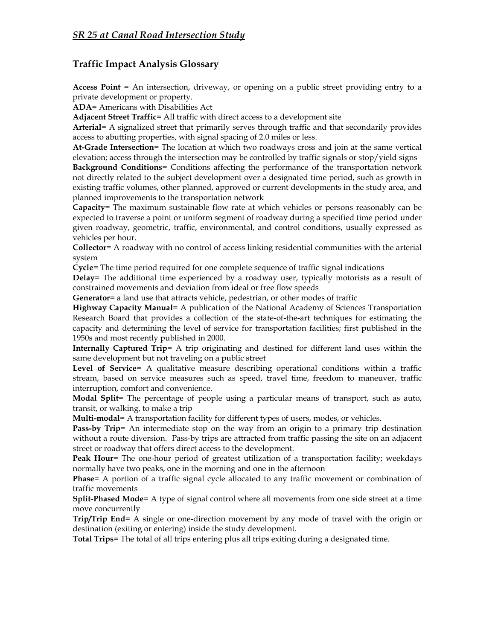#### **Traffic Impact Analysis Glossary**

**Access Point** = An intersection, driveway, or opening on a public street providing entry to a private development or property.

**ADA**= Americans with Disabilities Act

**Adjacent Street Traffic**= All traffic with direct access to a development site

**Arterial**= A signalized street that primarily serves through traffic and that secondarily provides access to abutting properties, with signal spacing of 2.0 miles or less.

**At-Grade Intersection**= The location at which two roadways cross and join at the same vertical elevation; access through the intersection may be controlled by traffic signals or stop/yield signs **Background Conditions**= Conditions affecting the performance of the transportation network not directly related to the subject development over a designated time period, such as growth in existing traffic volumes, other planned, approved or current developments in the study area, and planned improvements to the transportation network

**Capacity**= The maximum sustainable flow rate at which vehicles or persons reasonably can be expected to traverse a point or uniform segment of roadway during a specified time period under given roadway, geometric, traffic, environmental, and control conditions, usually expressed as vehicles per hour.

**Collector**= A roadway with no control of access linking residential communities with the arterial system

**Cycle**= The time period required for one complete sequence of traffic signal indications

**Delay**= The additional time experienced by a roadway user, typically motorists as a result of constrained movements and deviation from ideal or free flow speeds

**Generator**= a land use that attracts vehicle, pedestrian, or other modes of traffic

**Highway Capacity Manual**= A publication of the National Academy of Sciences Transportation Research Board that provides a collection of the state-of-the-art techniques for estimating the capacity and determining the level of service for transportation facilities; first published in the 1950s and most recently published in 2000.

**Internally Captured Trip**= A trip originating and destined for different land uses within the same development but not traveling on a public street

**Level of Service**= A qualitative measure describing operational conditions within a traffic stream, based on service measures such as speed, travel time, freedom to maneuver, traffic interruption, comfort and convenience.

**Modal Split**= The percentage of people using a particular means of transport, such as auto, transit, or walking, to make a trip

**Multi-modal**= A transportation facility for different types of users, modes, or vehicles.

**Pass-by Trip**= An intermediate stop on the way from an origin to a primary trip destination without a route diversion. Pass-by trips are attracted from traffic passing the site on an adjacent street or roadway that offers direct access to the development.

**Peak Hour**= The one-hour period of greatest utilization of a transportation facility; weekdays normally have two peaks, one in the morning and one in the afternoon

**Phase**= A portion of a traffic signal cycle allocated to any traffic movement or combination of traffic movements

**Split-Phased Mode**= A type of signal control where all movements from one side street at a time move concurrently

**Trip/Trip End**= A single or one-direction movement by any mode of travel with the origin or destination (exiting or entering) inside the study development.

**Total Trips**= The total of all trips entering plus all trips exiting during a designated time.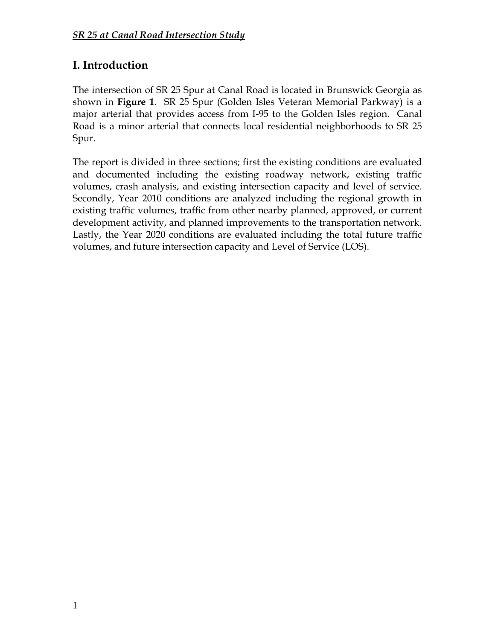# **I. Introduction**

The intersection of SR 25 Spur at Canal Road is located in Brunswick Georgia as shown in **Figure 1**. SR 25 Spur (Golden Isles Veteran Memorial Parkway) is a major arterial that provides access from I-95 to the Golden Isles region. Canal Road is a minor arterial that connects local residential neighborhoods to SR 25 Spur.

The report is divided in three sections; first the existing conditions are evaluated and documented including the existing roadway network, existing traffic volumes, crash analysis, and existing intersection capacity and level of service. Secondly, Year 2010 conditions are analyzed including the regional growth in existing traffic volumes, traffic from other nearby planned, approved, or current development activity, and planned improvements to the transportation network. Lastly, the Year 2020 conditions are evaluated including the total future traffic volumes, and future intersection capacity and Level of Service (LOS).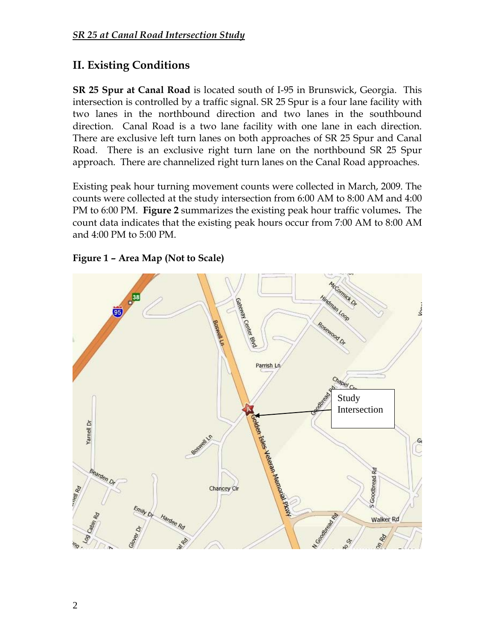## **II. Existing Conditions**

**SR 25 Spur at Canal Road** is located south of I-95 in Brunswick, Georgia. This intersection is controlled by a traffic signal. SR 25 Spur is a four lane facility with two lanes in the northbound direction and two lanes in the southbound direction. Canal Road is a two lane facility with one lane in each direction. There are exclusive left turn lanes on both approaches of SR 25 Spur and Canal Road. There is an exclusive right turn lane on the northbound SR 25 Spur approach. There are channelized right turn lanes on the Canal Road approaches.

Existing peak hour turning movement counts were collected in March, 2009. The counts were collected at the study intersection from 6:00 AM to 8:00 AM and 4:00 PM to 6:00 PM. **Figure 2** summarizes the existing peak hour traffic volumes**.** The count data indicates that the existing peak hours occur from 7:00 AM to 8:00 AM and 4:00 PM to 5:00 PM.



**Figure 1 – Area Map (Not to Scale)**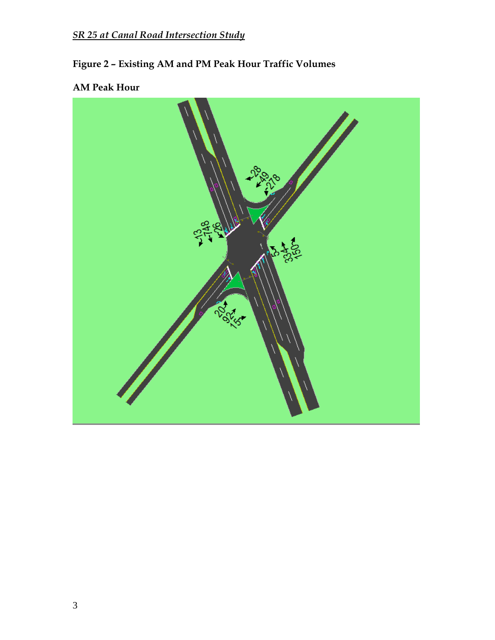# **Figure 2 – Existing AM and PM Peak Hour Traffic Volumes**

## **AM Peak Hour**

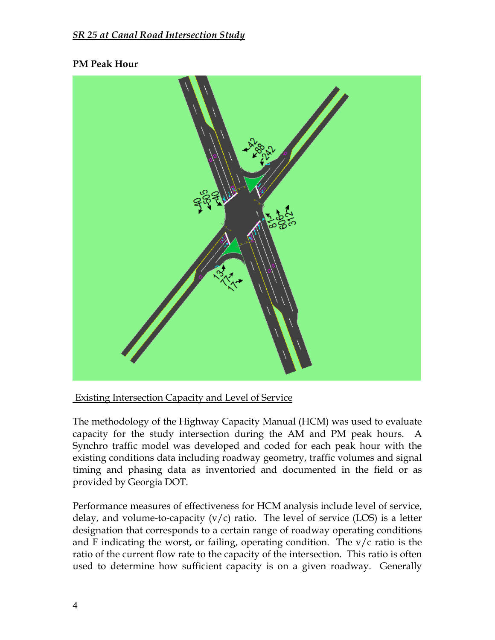#### **PM Peak Hour**



#### Existing Intersection Capacity and Level of Service

The methodology of the Highway Capacity Manual (HCM) was used to evaluate capacity for the study intersection during the AM and PM peak hours. A Synchro traffic model was developed and coded for each peak hour with the existing conditions data including roadway geometry, traffic volumes and signal timing and phasing data as inventoried and documented in the field or as provided by Georgia DOT.

Performance measures of effectiveness for HCM analysis include level of service, delay, and volume-to-capacity  $(v/c)$  ratio. The level of service (LOS) is a letter designation that corresponds to a certain range of roadway operating conditions and F indicating the worst, or failing, operating condition. The  $v/c$  ratio is the ratio of the current flow rate to the capacity of the intersection. This ratio is often used to determine how sufficient capacity is on a given roadway. Generally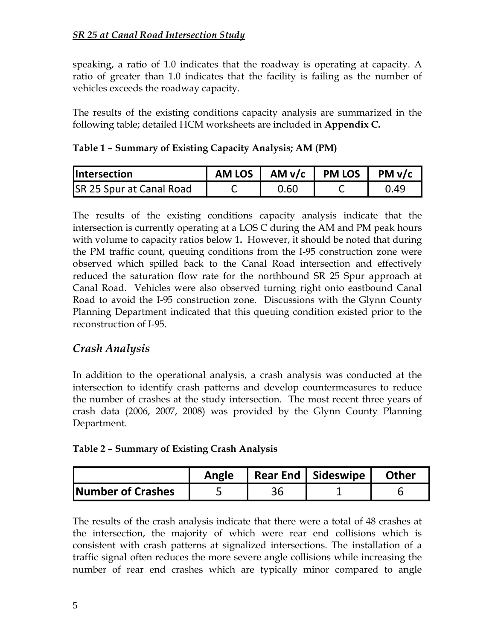speaking, a ratio of 1.0 indicates that the roadway is operating at capacity. A ratio of greater than 1.0 indicates that the facility is failing as the number of vehicles exceeds the roadway capacity.

The results of the existing conditions capacity analysis are summarized in the following table; detailed HCM worksheets are included in **Appendix C.**

| <b>Intersection</b>             | AM LOS   AM v/c   PM LOS | PM v/c |
|---------------------------------|--------------------------|--------|
| <b>SR 25 Spur at Canal Road</b> | 0.60                     | 0.49   |

**Table 1 – Summary of Existing Capacity Analysis; AM (PM)**

The results of the existing conditions capacity analysis indicate that the intersection is currently operating at a LOS C during the AM and PM peak hours with volume to capacity ratios below 1**.** However, it should be noted that during the PM traffic count, queuing conditions from the I-95 construction zone were observed which spilled back to the Canal Road intersection and effectively reduced the saturation flow rate for the northbound SR 25 Spur approach at Canal Road. Vehicles were also observed turning right onto eastbound Canal Road to avoid the I-95 construction zone. Discussions with the Glynn County Planning Department indicated that this queuing condition existed prior to the reconstruction of I-95.

## *Crash Analysis*

In addition to the operational analysis, a crash analysis was conducted at the intersection to identify crash patterns and develop countermeasures to reduce the number of crashes at the study intersection. The most recent three years of crash data (2006, 2007, 2008) was provided by the Glynn County Planning Department.

#### **Table 2 – Summary of Existing Crash Analysis**

|                           | Angle | Rear End   Sideswipe | Other |
|---------------------------|-------|----------------------|-------|
| <b>INumber of Crashes</b> |       |                      |       |

The results of the crash analysis indicate that there were a total of 48 crashes at the intersection, the majority of which were rear end collisions which is consistent with crash patterns at signalized intersections. The installation of a traffic signal often reduces the more severe angle collisions while increasing the number of rear end crashes which are typically minor compared to angle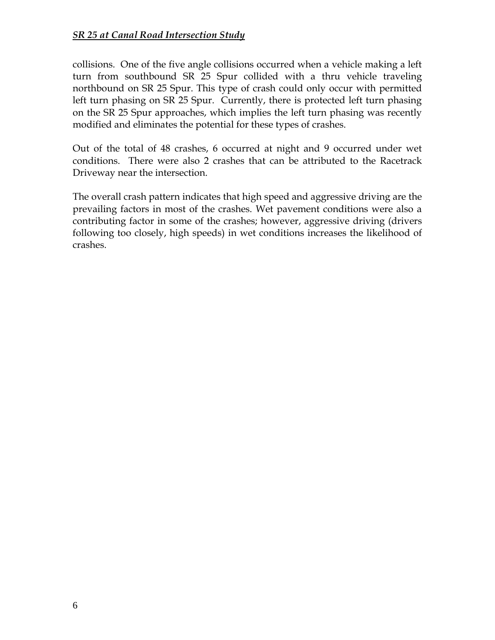collisions. One of the five angle collisions occurred when a vehicle making a left turn from southbound SR 25 Spur collided with a thru vehicle traveling northbound on SR 25 Spur. This type of crash could only occur with permitted left turn phasing on SR 25 Spur. Currently, there is protected left turn phasing on the SR 25 Spur approaches, which implies the left turn phasing was recently modified and eliminates the potential for these types of crashes.

Out of the total of 48 crashes, 6 occurred at night and 9 occurred under wet conditions. There were also 2 crashes that can be attributed to the Racetrack Driveway near the intersection.

The overall crash pattern indicates that high speed and aggressive driving are the prevailing factors in most of the crashes. Wet pavement conditions were also a contributing factor in some of the crashes; however, aggressive driving (drivers following too closely, high speeds) in wet conditions increases the likelihood of crashes.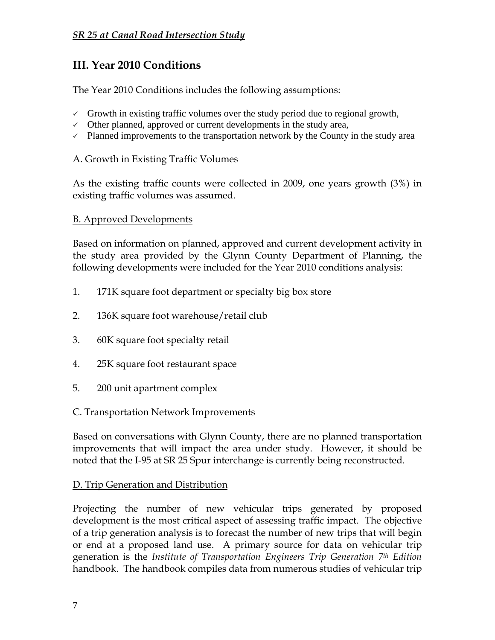## **III. Year 2010 Conditions**

The Year 2010 Conditions includes the following assumptions:

- $\checkmark$  Growth in existing traffic volumes over the study period due to regional growth,
- $\checkmark$  Other planned, approved or current developments in the study area,
- $\checkmark$  Planned improvements to the transportation network by the County in the study area

#### A. Growth in Existing Traffic Volumes

As the existing traffic counts were collected in 2009, one years growth (3%) in existing traffic volumes was assumed.

#### B. Approved Developments

Based on information on planned, approved and current development activity in the study area provided by the Glynn County Department of Planning, the following developments were included for the Year 2010 conditions analysis:

- 1. 171K square foot department or specialty big box store
- 2. 136K square foot warehouse/retail club
- 3. 60K square foot specialty retail
- 4. 25K square foot restaurant space
- 5. 200 unit apartment complex

#### C. Transportation Network Improvements

Based on conversations with Glynn County, there are no planned transportation improvements that will impact the area under study. However, it should be noted that the I-95 at SR 25 Spur interchange is currently being reconstructed.

#### D. Trip Generation and Distribution

Projecting the number of new vehicular trips generated by proposed development is the most critical aspect of assessing traffic impact. The objective of a trip generation analysis is to forecast the number of new trips that will begin or end at a proposed land use. A primary source for data on vehicular trip generation is the *Institute of Transportation Engineers Trip Generation 7th Edition*  handbook. The handbook compiles data from numerous studies of vehicular trip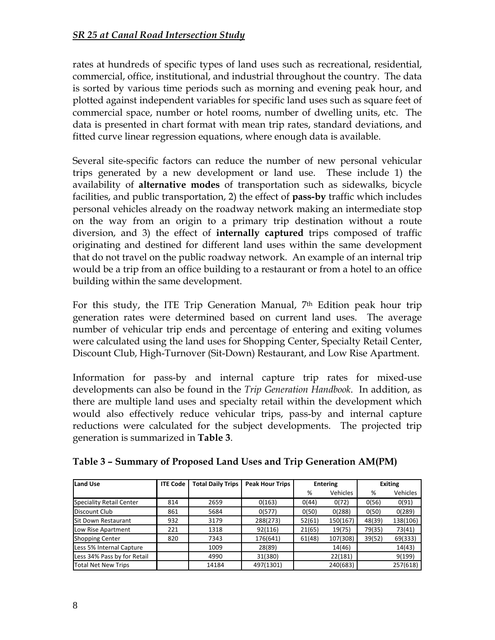rates at hundreds of specific types of land uses such as recreational, residential, commercial, office, institutional, and industrial throughout the country. The data is sorted by various time periods such as morning and evening peak hour, and plotted against independent variables for specific land uses such as square feet of commercial space, number or hotel rooms, number of dwelling units, etc. The data is presented in chart format with mean trip rates, standard deviations, and fitted curve linear regression equations, where enough data is available.

Several site-specific factors can reduce the number of new personal vehicular trips generated by a new development or land use. These include 1) the availability of **alternative modes** of transportation such as sidewalks, bicycle facilities, and public transportation, 2) the effect of **pass-by** traffic which includes personal vehicles already on the roadway network making an intermediate stop on the way from an origin to a primary trip destination without a route diversion, and 3) the effect of **internally captured** trips composed of traffic originating and destined for different land uses within the same development that do not travel on the public roadway network. An example of an internal trip would be a trip from an office building to a restaurant or from a hotel to an office building within the same development.

For this study, the ITE Trip Generation Manual,  $7<sup>th</sup>$  Edition peak hour trip generation rates were determined based on current land uses. The average number of vehicular trip ends and percentage of entering and exiting volumes were calculated using the land uses for Shopping Center, Specialty Retail Center, Discount Club, High-Turnover (Sit-Down) Restaurant, and Low Rise Apartment.

Information for pass-by and internal capture trip rates for mixed-use developments can also be found in the *Trip Generation Handbook*. In addition, as there are multiple land uses and specialty retail within the development which would also effectively reduce vehicular trips, pass-by and internal capture reductions were calculated for the subject developments. The projected trip generation is summarized in **Table 3**.

| <b>Land Use</b>             | <b>ITE Code</b> | <b>Total Daily Trips</b> | <b>Peak Hour Trips</b> | <b>Entering</b> |                 | <b>Exiting</b> |          |
|-----------------------------|-----------------|--------------------------|------------------------|-----------------|-----------------|----------------|----------|
|                             |                 |                          |                        | %               | <b>Vehicles</b> | %              | Vehicles |
| Speciality Retail Center    | 814             | 2659                     | 0(163)                 | O(44)           | 0(72)           | 0(56)          | 0(91)    |
| Discount Club               | 861             | 5684                     | 0(577)                 | 0(50)           | 0(288)          | 0(50)          | 0(289)   |
| <b>Sit Down Restaurant</b>  | 932             | 3179                     | 288(273)               | 52(61)          | 150(167)        | 48(39)         | 138(106) |
| Low Rise Apartment          | 221             | 1318                     | 92(116)                | 21(65)          | 19(75)          | 79(35)         | 73(41)   |
| <b>Shopping Center</b>      | 820             | 7343                     | 176(641)               | 61(48)          | 107(308)        | 39(52)         | 69(333)  |
| Less 5% Internal Capture    |                 | 1009                     | 28(89)                 |                 | 14(46)          |                | 14(43)   |
| Less 34% Pass by for Retail |                 | 4990                     | 31(380)                |                 | 22(181)         |                | 9(199)   |
| Total Net New Trips         |                 | 14184                    | 497(1301)              |                 | 240(683)        |                | 257(618) |

**Table 3 – Summary of Proposed Land Uses and Trip Generation AM(PM)**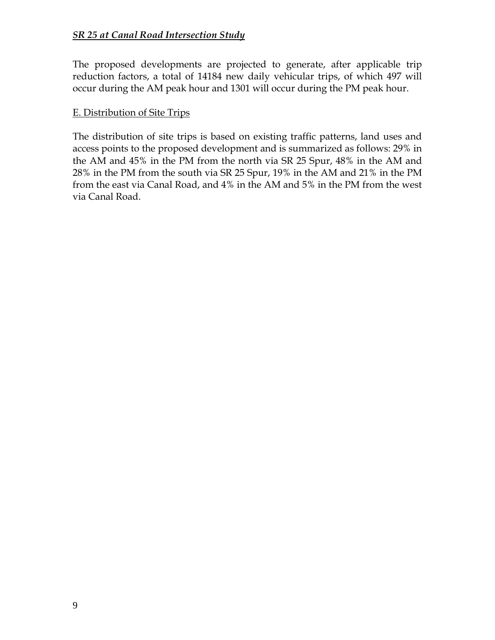The proposed developments are projected to generate, after applicable trip reduction factors, a total of 14184 new daily vehicular trips, of which 497 will occur during the AM peak hour and 1301 will occur during the PM peak hour.

#### E. Distribution of Site Trips

The distribution of site trips is based on existing traffic patterns, land uses and access points to the proposed development and is summarized as follows: 29% in the AM and 45% in the PM from the north via SR 25 Spur, 48% in the AM and 28% in the PM from the south via SR 25 Spur, 19% in the AM and 21% in the PM from the east via Canal Road, and 4% in the AM and 5% in the PM from the west via Canal Road.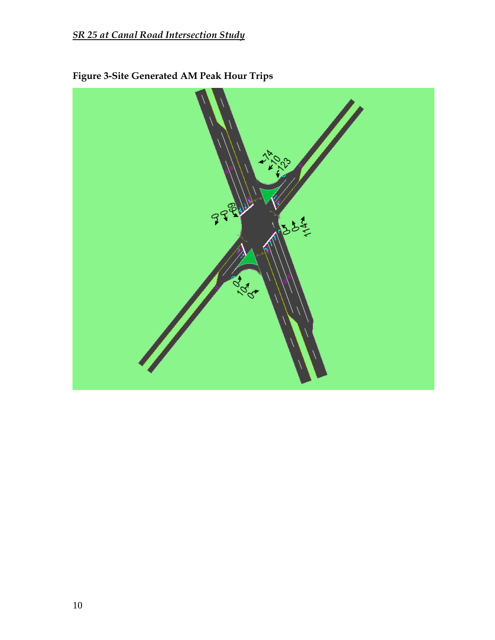

**Figure 3-Site Generated AM Peak Hour Trips**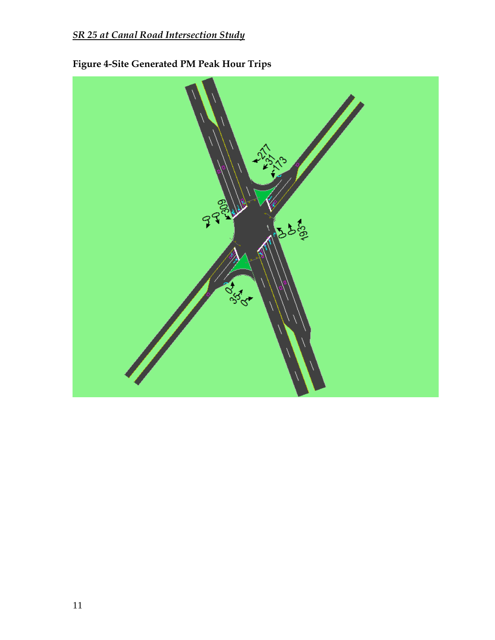

**Figure 4-Site Generated PM Peak Hour Trips**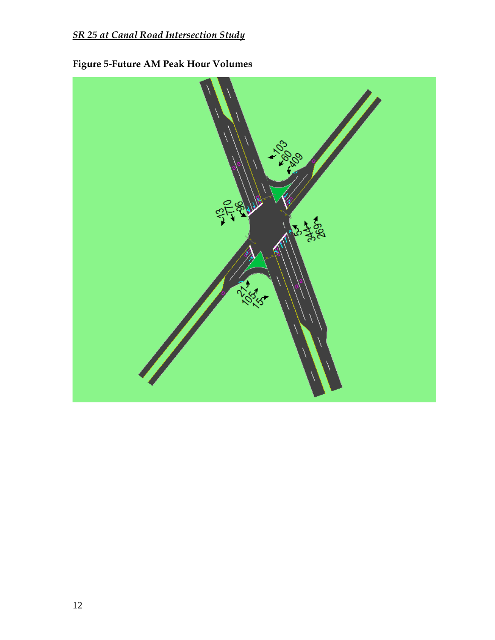

# **Figure 5-Future AM Peak Hour Volumes**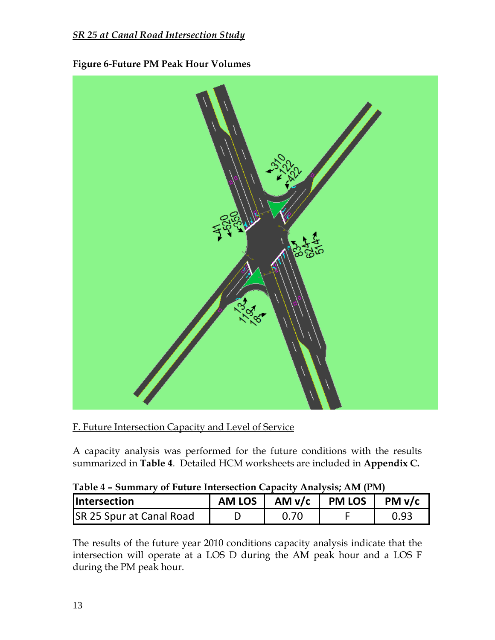![](_page_15_Figure_1.jpeg)

#### **Figure 6-Future PM Peak Hour Volumes**

F. Future Intersection Capacity and Level of Service

A capacity analysis was performed for the future conditions with the results summarized in **Table 4**. Detailed HCM worksheets are included in **Appendix C.**

| Table 4 – Summary of Future Intersection Capacity Analysis; AM (PM) |          |               |  |        |  |  |  |  |
|---------------------------------------------------------------------|----------|---------------|--|--------|--|--|--|--|
| <b>Intersection</b>                                                 | AM LOS 1 | AM v/c PM LOS |  | PM V/c |  |  |  |  |
| <b>SR 25 Spur at Canal Road</b>                                     |          | 0.70          |  | 0.93   |  |  |  |  |

|  | Table 4 – Summary of Future Intersection Capacity Analysis; AM (PM) |  |  |
|--|---------------------------------------------------------------------|--|--|
|  |                                                                     |  |  |

The results of the future year 2010 conditions capacity analysis indicate that the intersection will operate at a LOS D during the AM peak hour and a LOS F during the PM peak hour.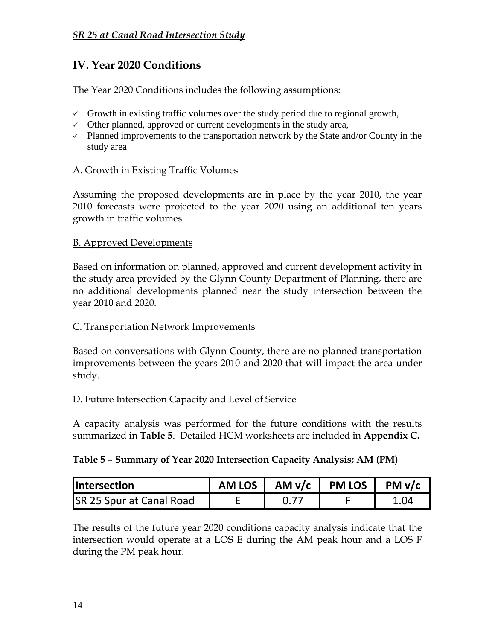## **IV. Year 2020 Conditions**

The Year 2020 Conditions includes the following assumptions:

- $\checkmark$  Growth in existing traffic volumes over the study period due to regional growth,
- $\checkmark$  Other planned, approved or current developments in the study area,
- $\checkmark$  Planned improvements to the transportation network by the State and/or County in the study area

#### A. Growth in Existing Traffic Volumes

Assuming the proposed developments are in place by the year 2010, the year 2010 forecasts were projected to the year 2020 using an additional ten years growth in traffic volumes.

#### B. Approved Developments

Based on information on planned, approved and current development activity in the study area provided by the Glynn County Department of Planning, there are no additional developments planned near the study intersection between the year 2010 and 2020.

#### C. Transportation Network Improvements

Based on conversations with Glynn County, there are no planned transportation improvements between the years 2010 and 2020 that will impact the area under study.

#### D. Future Intersection Capacity and Level of Service

A capacity analysis was performed for the future conditions with the results summarized in **Table 5**. Detailed HCM worksheets are included in **Appendix C.**

#### **Table 5 – Summary of Year 2020 Intersection Capacity Analysis; AM (PM)**

| <b>Intersection</b>             | <b>AM LOS</b> | $AMv/c$   PM LOS | PM v/c |
|---------------------------------|---------------|------------------|--------|
| <b>SR 25 Spur at Canal Road</b> |               |                  | .04    |

The results of the future year 2020 conditions capacity analysis indicate that the intersection would operate at a LOS E during the AM peak hour and a LOS F during the PM peak hour.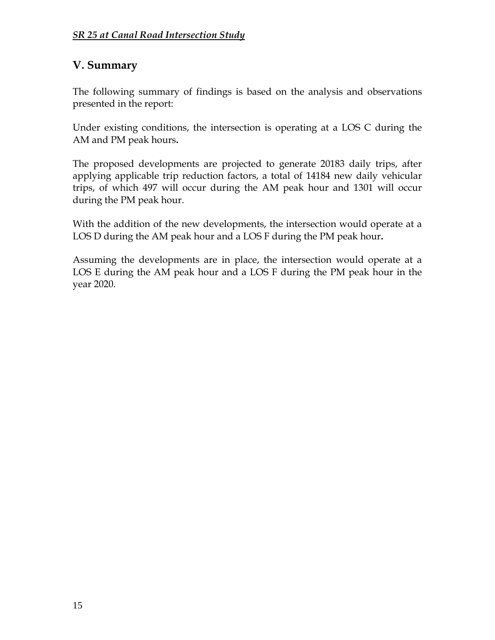## **V. Summary**

The following summary of findings is based on the analysis and observations presented in the report:

Under existing conditions, the intersection is operating at a LOS C during the AM and PM peak hours**.**

The proposed developments are projected to generate 20183 daily trips, after applying applicable trip reduction factors, a total of 14184 new daily vehicular trips, of which 497 will occur during the AM peak hour and 1301 will occur during the PM peak hour.

With the addition of the new developments, the intersection would operate at a LOS D during the AM peak hour and a LOS F during the PM peak hour**.**

Assuming the developments are in place, the intersection would operate at a LOS E during the AM peak hour and a LOS F during the PM peak hour in the year 2020.